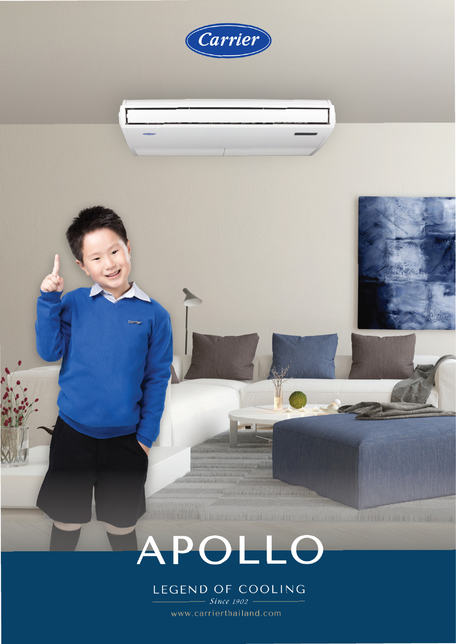

www.carrierthailand.com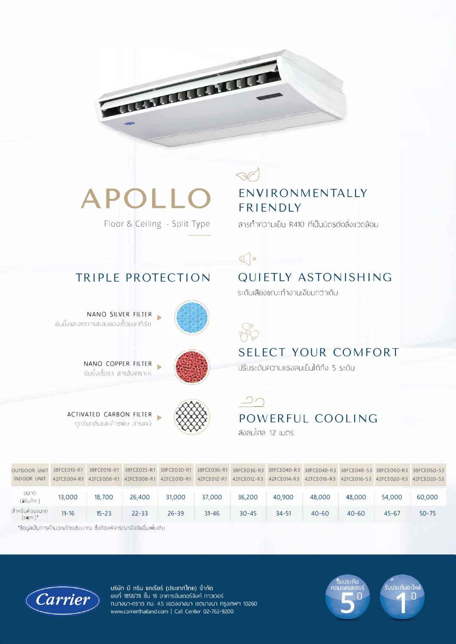

# **APOLLO**

TRIPLE PROTECTION

Floor & Ceiling - Split Type

### ENVIRONMENTALLY **FRIENDIY**

้สารทำความเย็น R410 ที่เป็นมิตรต่อสิ่งแวดล้อม

#### $\mathbb{Q}$  ×

### **QUIETLY ASTONISHING**

ระดับเสียงขณะทำงานเงียบกว่าเดิม



ยับยั้งและลดการสะสมของเซื้อแบคทีเรีย

NANO COPPER FILTER ้ยับยั้งเชื้อรา สารสังเคราะห์

NANO SILVER FILTER







#### **SELECT YOUR COMFORT**

ปรับระดับความแรงลมเย็นได้ถึง 5 ระดับ

#### $\supset$ POWERFUL COOLING

ส่งลมใกล 12 เมตร

| OUTDOOR UNIT 38FCE013-R1<br>INDOOR UNIT |           |           |           |           |           | 38FCE018-R1 38FCE02S-R1 38FCE030-R1 38FCE036-R1 38FCE036-R3 38FCE040-R3 38FCE048-R3 38FCE048-S3 38FCE060-R3 38FCE060-S3<br>42FCE004-R1 42FCE006-R1 42FCE008-R1 42FCE010-R1 42FCE012-R1 42FCE012-R3 42FCE014-R3 42FCE016-R3 42FCE016-S3 42FCE020-R3 42FCE020-S3 |           |           |           |           |           |
|-----------------------------------------|-----------|-----------|-----------|-----------|-----------|----------------------------------------------------------------------------------------------------------------------------------------------------------------------------------------------------------------------------------------------------------------|-----------|-----------|-----------|-----------|-----------|
| บนาด<br>(Btu/hr.)                       | 13,000    | 18,700    | 26,400    | 31,000    | 37,000    | 36,200                                                                                                                                                                                                                                                         | 40,900    | 48,000    | 48,000    | 54,000    | 60,000    |
| สำหรับห้องขนาด<br>$(\mathsf{sqm.})^*$   | $11 - 16$ | $15 - 23$ | $22 - 33$ | $76 - 39$ | $31 - 46$ | $30 - 45$                                                                                                                                                                                                                                                      | $34 - 51$ | $40 - 60$ | $40 - 60$ | $45 - 67$ | $50 - 75$ |

\*ข้อมูลเป็นการคำนวกบโดยประมาณ ซึ่งต้องพิจารณาปัจจัยอื่นเพิ่มเติม



บริษัท บี กริม แคเรียร์ (ประเทศไทย) จำกัด เลขที่ 1858/78 ชิ้น 16 อาคารอินเตอร์ลิงค์ ทาวเวอร์ ก.บางนา-ตราด กม. 4.5 แขวงบางนา เขตบางนา กรงเทพฯ 10260 www.carrierthailand.com | Call Center 02-762-9200